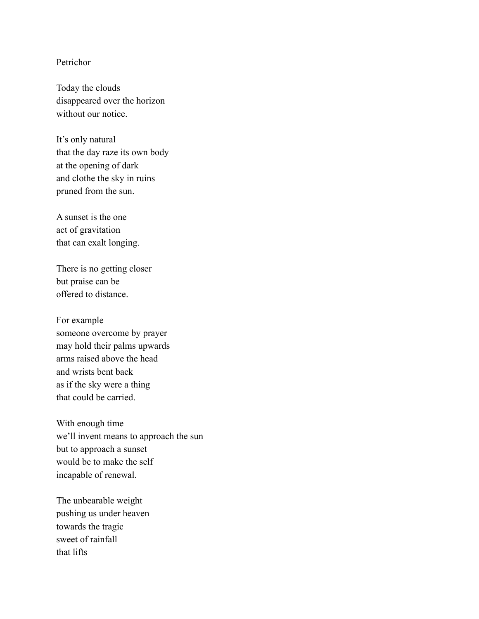## Petrichor

Today the clouds disappeared over the horizon without our notice

It's only natural that the day raze its own body at the opening of dark and clothe the sky in ruins pruned from the sun.

A sunset is the one act of gravitation that can exalt longing.

There is no getting closer but praise can be offered to distance.

For example someone overcome by prayer may hold their palms upwards arms raised above the head and wrists bent back as if the sky were a thing that could be carried.

With enough time we'll invent means to approach the sun but to approach a sunset would be to make the self incapable of renewal.

The unbearable weight pushing us under heaven towards the tragic sweet of rainfall that lifts